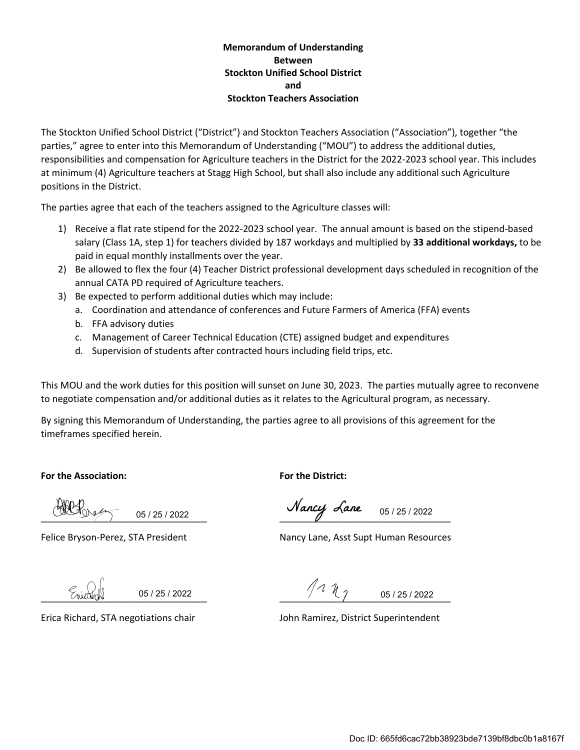#### **Memorandum of Understanding Between Stockton Unified School District and Stockton Teachers Association**

The Stockton Unified School District ("District") and Stockton Teachers Association ("Association"), together "the parties," agree to enter into this Memorandum of Understanding ("MOU") to address the additional duties, responsibilities and compensation for Agriculture teachers in the District for the 2022-2023 school year. This includes at minimum (4) Agriculture teachers at Stagg High School, but shall also include any additional such Agriculture positions in the District.

The parties agree that each of the teachers assigned to the Agriculture classes will:

- 1) Receive a flat rate stipend for the 2022-2023 school year. The annual amount is based on the stipend-based salary (Class 1A, step 1) for teachers divided by 187 workdays and multiplied by **33 additional workdays,** to be paid in equal monthly installments over the year.
- 2) Be allowed to flex the four (4) Teacher District professional development days scheduled in recognition of the annual CATA PD required of Agriculture teachers.
- 3) Be expected to perform additional duties which may include:
	- a. Coordination and attendance of conferences and Future Farmers of America (FFA) events
	- b. FFA advisory duties
	- c. Management of Career Technical Education (CTE) assigned budget and expenditures
	- d. Supervision of students after contracted hours including field trips, etc.

This MOU and the work duties for this position will sunset on June 30, 2023. The parties mutually agree to reconvene to negotiate compensation and/or additional duties as it relates to the Agricultural program, as necessary.

By signing this Memorandum of Understanding, the parties agree to all provisions of this agreement for the timeframes specified herein.

**For the Association: For the District:**

05 / 25 / 2022

 $\underbrace{\text{Orangle}}_{05/25/2022}$  05/25/2022

Felice Bryson-Perez, STA President Nancy Lane, Asst Supt Human Resources

05 / 25 / 2022

 $\frac{1}{2}$  (nutright  $\frac{1}{2}$   $\frac{1}{2}$   $\frac{1}{2}$   $\frac{1}{2}$   $\frac{1}{2}$   $\frac{1}{2}$   $\frac{1}{2}$   $\frac{1}{2}$   $\frac{1}{2}$   $\frac{1}{2}$   $\frac{1}{2}$   $\frac{1}{2}$   $\frac{1}{2}$   $\frac{1}{2}$   $\frac{1}{2}$   $\frac{1}{2}$   $\frac{1}{2}$   $\frac{1}{2}$   $\frac{1}{2}$   $\frac{1}{2}$  05 / 25 / 2022

Erica Richard, STA negotiations chair John Ramirez, District Superintendent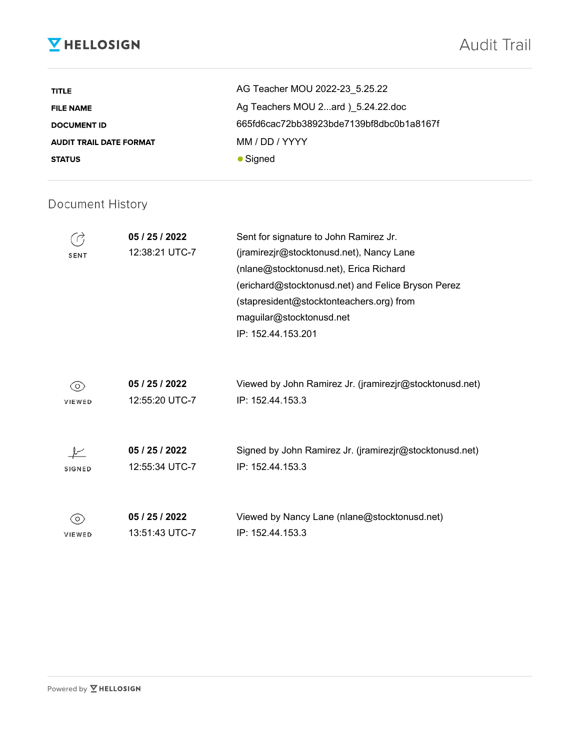# **V** HELLOSIGN

| <b>TITLE</b>                   | AG Teacher MOU 2022-23 5.25.22           |
|--------------------------------|------------------------------------------|
| <b>FILE NAME</b>               | Ag Teachers MOU 2ard ) 5.24.22.doc       |
| <b>DOCUMENT ID</b>             | 665fd6cac72bb38923bde7139bf8dbc0b1a8167f |
| <b>AUDIT TRAIL DATE FORMAT</b> | MM / DD / YYYY                           |
| <b>STATUS</b>                  | $\bullet$ Signed                         |

### Document History

| <b>SENT</b>   | 05 / 25 / 2022<br>12:38:21 UTC-7 | Sent for signature to John Ramirez Jr.<br>(jramirezjr@stocktonusd.net), Nancy Lane<br>(nlane@stocktonusd.net), Erica Richard<br>(erichard@stocktonusd.net) and Felice Bryson Perez<br>(stapresident@stocktonteachers.org) from<br>maguilar@stocktonusd.net<br>IP: 152.44.153.201 |
|---------------|----------------------------------|----------------------------------------------------------------------------------------------------------------------------------------------------------------------------------------------------------------------------------------------------------------------------------|
| $\circ$       | 05 / 25 / 2022                   | Viewed by John Ramirez Jr. (jramirezjr@stocktonusd.net)                                                                                                                                                                                                                          |
| VIEWED        | 12:55:20 UTC-7                   | IP: 152.44.153.3                                                                                                                                                                                                                                                                 |
| <b>SIGNED</b> | 05 / 25 / 2022<br>12:55:34 UTC-7 | Signed by John Ramirez Jr. (jramirezjr@stocktonusd.net)<br>IP: 152.44.153.3                                                                                                                                                                                                      |
| $\circ$       | 05 / 25 / 2022                   | Viewed by Nancy Lane (nlane@stocktonusd.net)                                                                                                                                                                                                                                     |
| <b>VIEWED</b> | 13:51:43 UTC-7                   | IP: 152.44.153.3                                                                                                                                                                                                                                                                 |